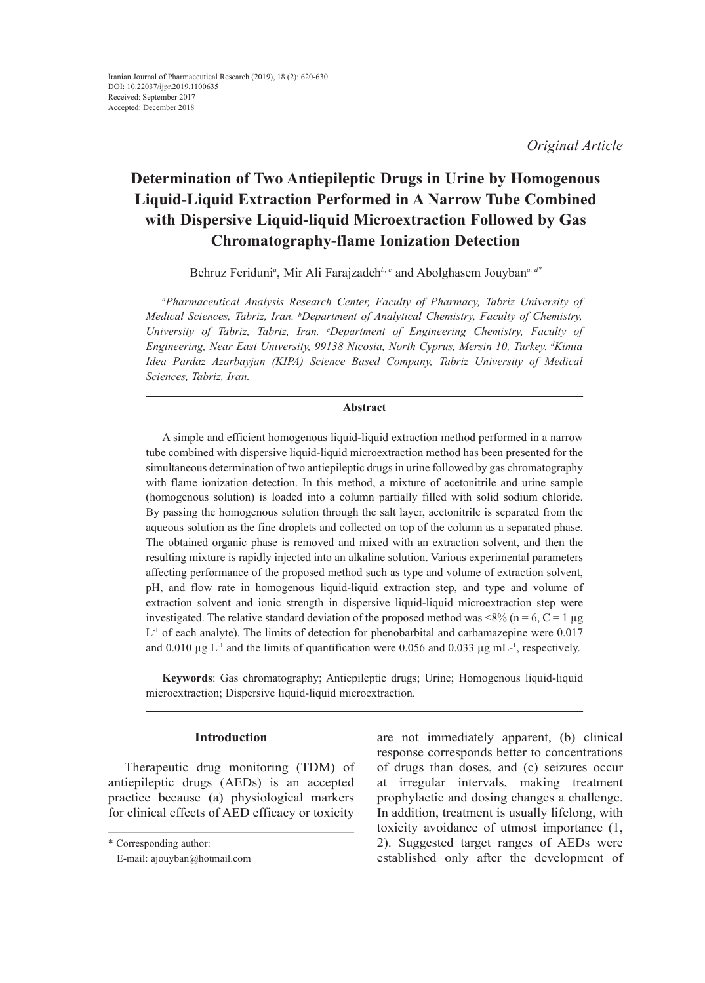*Original Article*

# **Determination of Two Antiepileptic Drugs in Urine by Homogenous Liquid-Liquid Extraction Performed in A Narrow Tube Combined with Dispersive Liquid-liquid Microextraction Followed by Gas Chromatography-flame Ionization Detection**

Behruz Feriduni*<sup>a</sup>* , Mir Ali Farajzadeh*b, c* and Abolghasem Jouyban*a, d\**

*a Pharmaceutical Analysis Research Center, Faculty of Pharmacy, Tabriz University of Medical Sciences, Tabriz, Iran. b Department of Analytical Chemistry, Faculty of Chemistry, University of Tabriz, Tabriz, Iran. c Department of Engineering Chemistry, Faculty of Engineering, Near East University, 99138 Nicosia, North Cyprus, Mersin 10, Turkey. d Kimia Idea Pardaz Azarbayjan (KIPA) Science Based Company, Tabriz University of Medical Sciences, Tabriz, Iran.*

#### **Abstract**

A simple and efficient homogenous liquid-liquid extraction method performed in a narrow tube combined with dispersive liquid-liquid microextraction method has been presented for the simultaneous determination of two antiepileptic drugs in urine followed by gas chromatography with flame ionization detection. In this method, a mixture of acetonitrile and urine sample (homogenous solution) is loaded into a column partially filled with solid sodium chloride. By passing the homogenous solution through the salt layer, acetonitrile is separated from the aqueous solution as the fine droplets and collected on top of the column as a separated phase. The obtained organic phase is removed and mixed with an extraction solvent, and then the resulting mixture is rapidly injected into an alkaline solution. Various experimental parameters affecting performance of the proposed method such as type and volume of extraction solvent, pH, and flow rate in homogenous liquid-liquid extraction step, and type and volume of extraction solvent and ionic strength in dispersive liquid-liquid microextraction step were investigated. The relative standard deviation of the proposed method was  $\langle 8\% \rangle$  (n = 6, C = 1 µg  $L^{-1}$  of each analyte). The limits of detection for phenobarbital and carbamazepine were 0.017 and  $0.010 \mu g L^{-1}$  and the limits of quantification were 0.056 and 0.033  $\mu g$  mL-<sup>1</sup>, respectively.

**Keywords**: Gas chromatography; Antiepileptic drugs; Urine; Homogenous liquid-liquid microextraction; Dispersive liquid-liquid microextraction.

# **Introduction**

Therapeutic drug monitoring (TDM) of antiepileptic drugs (AEDs) is an accepted practice because (a) physiological markers for clinical effects of AED efficacy or toxicity

are not immediately apparent, (b) clinical response corresponds better to concentrations of drugs than doses, and (c) seizures occur at irregular intervals, making treatment prophylactic and dosing changes a challenge. In addition, treatment is usually lifelong, with toxicity avoidance of utmost importance (1, 2). Suggested target ranges of AEDs were established only after the development of

<sup>\*</sup> Corresponding author:

E-mail: ajouyban@hotmail.com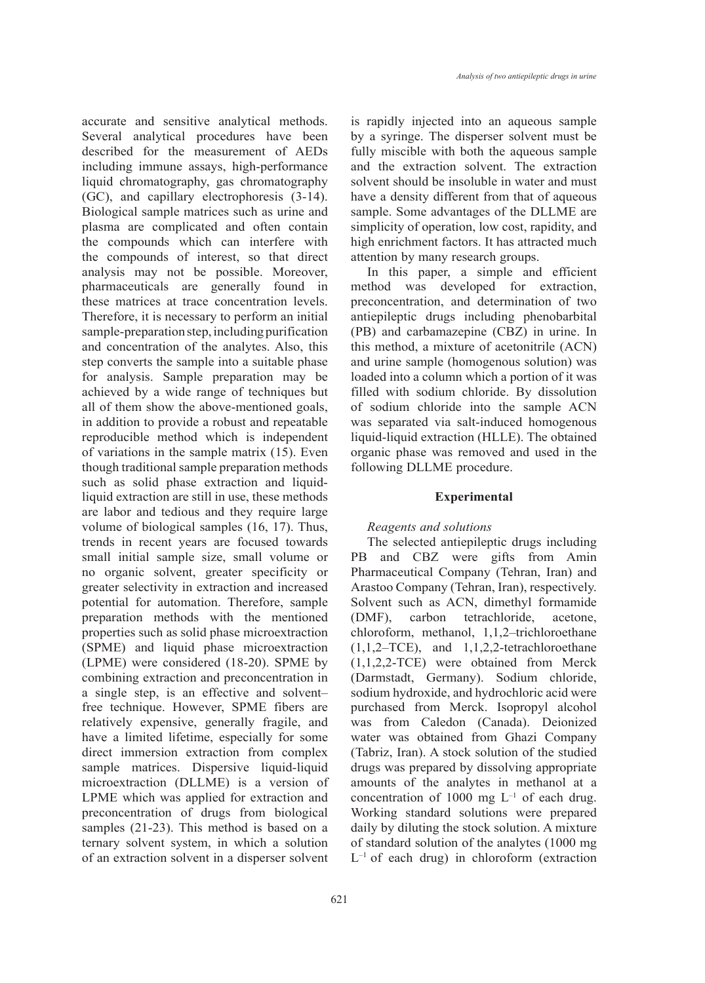accurate and sensitive analytical methods. Several analytical procedures have been described for the measurement of AEDs including immune assays, high-performance liquid chromatography, gas chromatography (GC), and capillary electrophoresis (3-14). Biological sample matrices such as urine and plasma are complicated and often contain the compounds which can interfere with the compounds of interest, so that direct analysis may not be possible. Moreover, pharmaceuticals are generally found in these matrices at trace concentration levels. Therefore, it is necessary to perform an initial sample-preparation step, including purification and concentration of the analytes. Also, this step converts the sample into a suitable phase for analysis. Sample preparation may be achieved by a wide range of techniques but all of them show the above-mentioned goals, in addition to provide a robust and repeatable reproducible method which is independent of variations in the sample matrix (15). Even though traditional sample preparation methods such as solid phase extraction and liquidliquid extraction are still in use, these methods are labor and tedious and they require large volume of biological samples (16, 17). Thus, trends in recent years are focused towards small initial sample size, small volume or no organic solvent, greater specificity or greater selectivity in extraction and increased potential for automation. Therefore, sample preparation methods with the mentioned properties such as solid phase microextraction (SPME) and liquid phase microextraction (LPME) were considered (18-20). SPME by combining extraction and preconcentration in a single step, is an effective and solvent– free technique. However, SPME fibers are relatively expensive, generally fragile, and have a limited lifetime, especially for some direct immersion extraction from complex sample matrices. Dispersive liquid-liquid microextraction (DLLME) is a version of LPME which was applied for extraction and preconcentration of drugs from biological samples (21-23). This method is based on a ternary solvent system, in which a solution of an extraction solvent in a disperser solvent

is rapidly injected into an aqueous sample by a syringe. The disperser solvent must be fully miscible with both the aqueous sample and the extraction solvent. The extraction solvent should be insoluble in water and must have a density different from that of aqueous sample. Some advantages of the DLLME are simplicity of operation, low cost, rapidity, and high enrichment factors. It has attracted much attention by many research groups.

In this paper, a simple and efficient method was developed for extraction, preconcentration, and determination of two antiepileptic drugs including phenobarbital (PB) and carbamazepine (CBZ) in urine. In this method, a mixture of acetonitrile (ACN) and urine sample (homogenous solution) was loaded into a column which a portion of it was filled with sodium chloride. By dissolution of sodium chloride into the sample ACN was separated via salt-induced homogenous liquid-liquid extraction (HLLE). The obtained organic phase was removed and used in the following DLLME procedure.

# **Experimental**

# *Reagents and solutions*

The selected antiepileptic drugs including PB and CBZ were gifts from Amin Pharmaceutical Company (Tehran, Iran) and Arastoo Company (Tehran, Iran), respectively. Solvent such as ACN, dimethyl formamide (DMF), carbon tetrachloride, acetone, chloroform, methanol, 1,1,2–trichloroethane  $(1,1,2-TCE)$ , and  $1,1,2,2$ -tetrachloroethane (1,1,2,2-TCE) were obtained from Merck (Darmstadt, Germany). Sodium chloride, sodium hydroxide, and hydrochloric acid were purchased from Merck. Isopropyl alcohol was from Caledon (Canada). Deionized water was obtained from Ghazi Company (Tabriz, Iran). A stock solution of the studied drugs was prepared by dissolving appropriate amounts of the analytes in methanol at a concentration of 1000 mg  $L^{-1}$  of each drug. Working standard solutions were prepared daily by diluting the stock solution. A mixture of standard solution of the analytes (1000 mg  $L^{-1}$  of each drug) in chloroform (extraction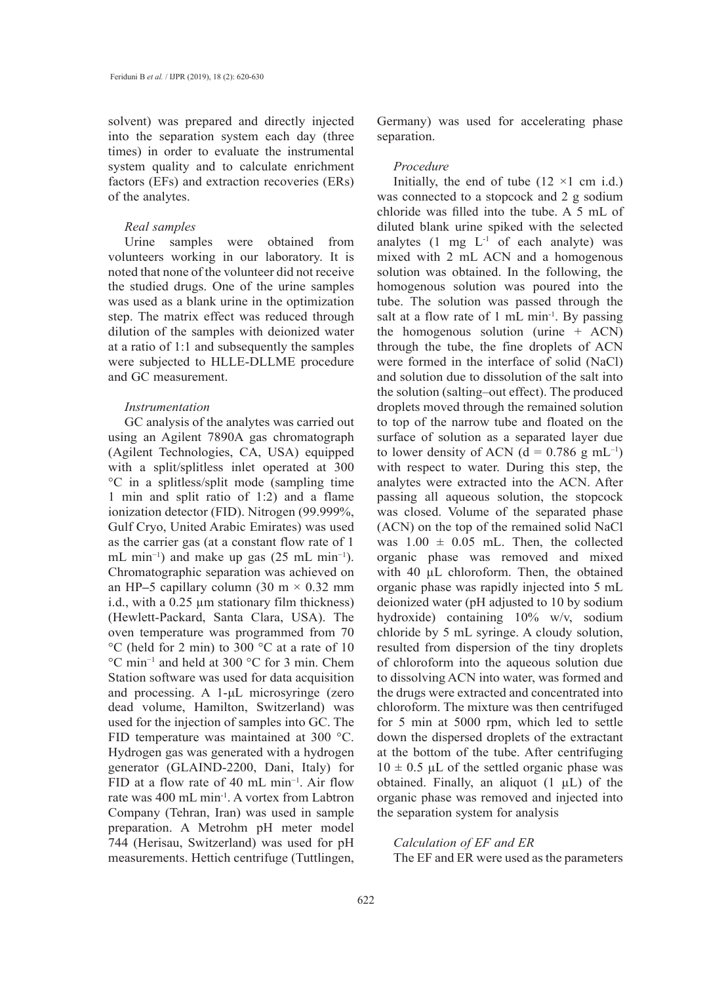solvent) was prepared and directly injected into the separation system each day (three times) in order to evaluate the instrumental system quality and to calculate enrichment factors (EFs) and extraction recoveries (ERs) of the analytes.

# *Real samples*

Urine samples were obtained from volunteers working in our laboratory. It is noted that none of the volunteer did not receive the studied drugs. One of the urine samples was used as a blank urine in the optimization step. The matrix effect was reduced through dilution of the samples with deionized water at a ratio of 1:1 and subsequently the samples were subjected to HLLE-DLLME procedure and GC measurement.

# *Instrumentation*

GC analysis of the analytes was carried out using an Agilent 7890A gas chromatograph (Agilent Technologies, CA, USA) equipped with a split/splitless inlet operated at 300 °C in a splitless/split mode (sampling time 1 min and split ratio of 1:2) and a flame ionization detector (FID). Nitrogen (99.999%, Gulf Cryo, United Arabic Emirates) was used as the carrier gas (at a constant flow rate of 1 mL min−1) and make up gas (25 mL min−1). Chromatographic separation was achieved on an HP**–**5 capillary column (30 m × 0.32 mm i.d., with a 0.25 µm stationary film thickness) (Hewlett-Packard, Santa Clara, USA). The oven temperature was programmed from 70 °C (held for 2 min) to 300 °C at a rate of 10 °C min−1 and held at 300 °C for 3 min. Chem Station software was used for data acquisition and processing. A 1-μL microsyringe (zero dead volume, Hamilton, Switzerland) was used for the injection of samples into GC. The FID temperature was maintained at 300 °C. Hydrogen gas was generated with a hydrogen generator (GLAIND-2200, Dani, Italy) for FID at a flow rate of 40 mL min−1. Air flow rate was 400 mL min-1. A vortex from Labtron Company (Tehran, Iran) was used in sample preparation. A Metrohm pH meter model 744 (Herisau, Switzerland) was used for pH measurements. Hettich centrifuge (Tuttlingen,

Germany) was used for accelerating phase separation.

#### *Procedure*

Initially, the end of tube  $(12 \times 1 \text{ cm } i.d.)$ was connected to a stopcock and 2 g sodium chloride was filled into the tube. A 5 mL of diluted blank urine spiked with the selected analytes  $(1 \text{ mg } L^{-1} \text{ of each analytic})$  was mixed with 2 mL ACN and a homogenous solution was obtained. In the following, the homogenous solution was poured into the tube. The solution was passed through the salt at a flow rate of  $1 \text{ mL min}^{-1}$ . By passing the homogenous solution (urine  $+$  ACN) through the tube, the fine droplets of ACN were formed in the interface of solid (NaCl) and solution due to dissolution of the salt into the solution (salting–out effect). The produced droplets moved through the remained solution to top of the narrow tube and floated on the surface of solution as a separated layer due to lower density of ACN ( $d = 0.786$  g mL<sup>-1</sup>) with respect to water. During this step, the analytes were extracted into the ACN. After passing all aqueous solution, the stopcock was closed. Volume of the separated phase (ACN) on the top of the remained solid NaCl was  $1.00 \pm 0.05$  mL. Then, the collected organic phase was removed and mixed with 40  $\mu$ L chloroform. Then, the obtained organic phase was rapidly injected into 5 mL deionized water (pH adjusted to 10 by sodium hydroxide) containing 10% w/v, sodium chloride by 5 mL syringe. A cloudy solution, resulted from dispersion of the tiny droplets of chloroform into the aqueous solution due to dissolving ACN into water, was formed and the drugs were extracted and concentrated into chloroform. The mixture was then centrifuged for 5 min at 5000 rpm, which led to settle down the dispersed droplets of the extractant at the bottom of the tube. After centrifuging  $10 \pm 0.5$  µL of the settled organic phase was obtained. Finally, an aliquot  $(1 \mu L)$  of the organic phase was removed and injected into the separation system for analysis

# *Calculation of EF and ER* The EF and ER were used as the parameters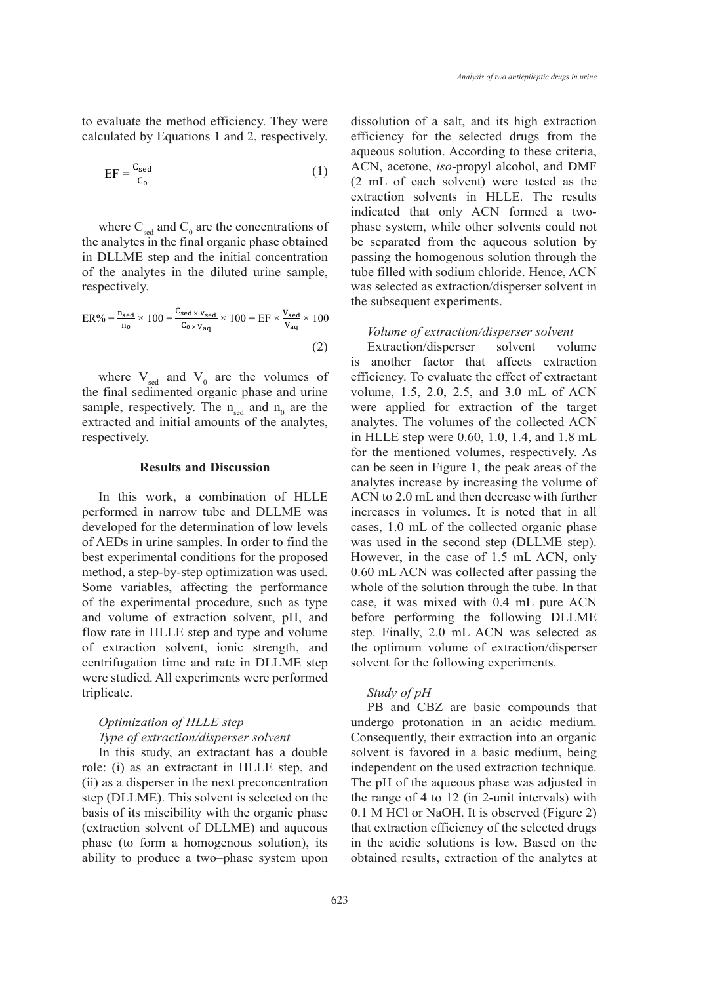to evaluate the method efficiency. They were calculated by Equations 1 and 2, respectively. Equations 1 and 2, respectively. The EF and ER were used as the parameters to evaluate the method efficiency. They were calculated by

$$
EF = \frac{C_{\text{sed}}}{C_0} \tag{1}
$$

where  $C_{\text{sed}}$  and  $C_0$  are the concentrations of phase system, whil the analytes in the final organic phase obtained be separated from the aqueous in DLLME step and the initial concentration passing the homogenous solution through of the analytes in the diluted urine sample, respectively.

$$
ER\% = \frac{n_{sed}}{n_0} \times 100 = \frac{C_{sed} \times v_{sed}}{C_{o} \times v_{aq}} \times 100 = EF \times \frac{v_{sed}}{v_{aq}} \times 100
$$
  
\n*Volume of extraction/disperser solvent*  
\n(2) *Extraction/disperser solvent* volume

where  $V_{\text{sed}}$  and  $V_0$  are the volumes of efficiency. To eva the final sedimented organic phase and urine<br> **Results** and  $\alpha$  and  $\beta$  and the sum that sample, respectively. The  $n_{\text{sed}}$  and  $n_0$  are the respectively.

# **Results and Discussion**

In this work, a combination of HLLE performed in narrow tube and DLLME was increases in volumes. It is noted that developed for the determination of low levels cases, 1.0 mL of the collected organic of AEDs in urine samples. In order to find the best experimental conditions for the proposed method, a step-by-step optimization was used. Some variables, affecting the performance of the experimental procedure, such as type and volume of extraction solvent, pH, and flow rate in HLLE step and type and volume of extraction solvent, ionic strength, and centrifugation time and rate in DLLME step were studied. All experiments were performed triplicate.

# *Optimization of HLLE step Type of extraction/disperser solvent*

In this study, an extractant has a double role: (i) as an extractant in HLLE step, and (ii) as a disperser in the next preconcentration step (DLLME). This solvent is selected on the basis of its miscibility with the organic phase (extraction solvent of DLLME) and aqueous phase (to form a homogenous solution), its ability to produce a two–phase system upon

dissolution of a salt, and its high extraction efficiency for the selected drugs from the aqueous solution. According to these criteria, ACN, acetone, *iso*-propyl alcohol, and DMF  $EF = \frac{e_{\text{seed}}}{C_0}$  (1) Then, according to evaluate the property are tested as the parameters to evaluate the method efficiency. The method efficiency of  $(2 \text{ mL of each solvent})$  were tested as the extraction solvents in HLLE. The results indicated that only ACN formed a twophase system, while other solvents could not be separated from the aqueous solution by passing the homogenous solution through the tube filled with sodium chloride. Hence, ACN respectively. The initial concentration of the selected as extraction/disperser solvent in the subsequent experiments.

#### *Volume of extraction/disperser solvent*

extracted and initial amounts of the analytes, analytes. The volumes of the collected ACN<br>
In this work, a computed for the angle of  $\sim 0.60, 1.0, 1.4, \text{m}$ ,  $\sim 1.8, \text{m}$ ,  $(z)$  Extraction/disperser solvent volume<br>is another factor that affects extraction efficiency. To evaluate the effect of extractant volume, 1.5, 2.0, 2.5, and 3.0 mL of ACN were applied for extraction of the target analytes. The volumes of the collected ACN in HLLE step were 0.60, 1.0, 1.4, and 1.8 mL for the mentioned volumes, respectively. As can be seen in Figure 1, the peak areas of the analytes increase by increasing the volume of ACN to 2.0 mL and then decrease with further formed in narrow tube and DLLME was increases in volumes. It is noted that in all cases, 1.0 mL of the collected organic phase was used in the second step (DLLME step). However, in the case of 1.5 mL ACN, only 0.60 mL ACN was collected after passing the whole of the solution through the tube. In that case, it was mixed with 0.4 mL pure ACN before performing the following DLLME step. Finally, 2.0 mL ACN was selected as the optimum volume of extraction/disperser solvent for the following experiments.

# *Study of pH*

PB and CBZ are basic compounds that undergo protonation in an acidic medium. Consequently, their extraction into an organic solvent is favored in a basic medium, being independent on the used extraction technique. The pH of the aqueous phase was adjusted in the range of 4 to 12 (in 2-unit intervals) with 0.1 M HCl or NaOH. It is observed (Figure 2) that extraction efficiency of the selected drugs in the acidic solutions is low. Based on the obtained results, extraction of the analytes at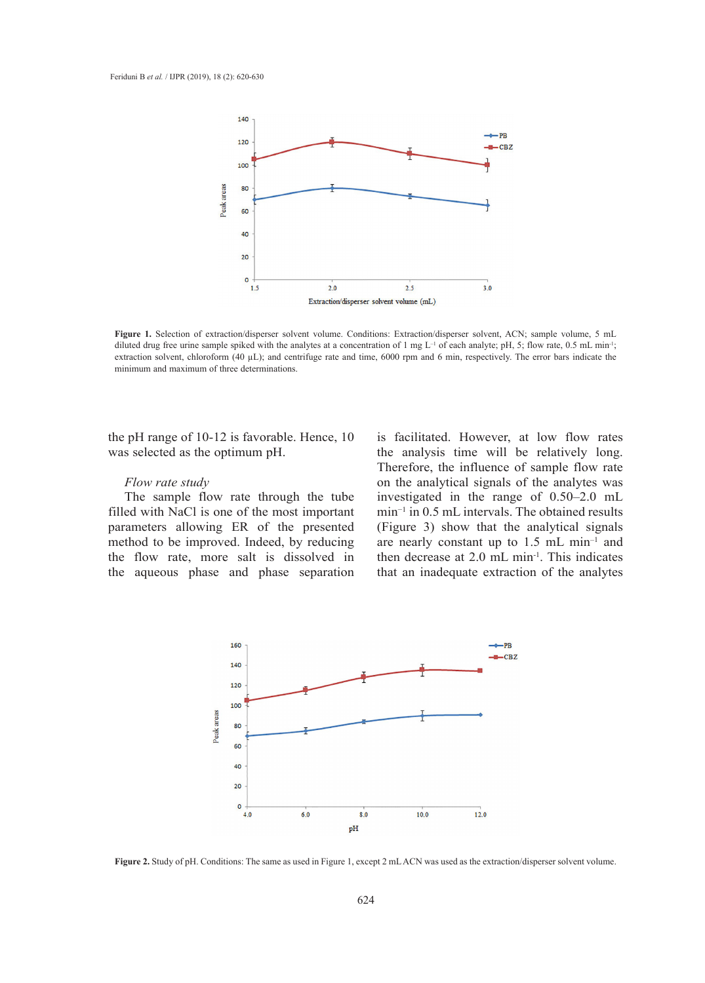

diluted drug free urine sample spiked with the analytes at a concentration of 1 mg  $L^{-1}$  of each analyte; pH, 5; flow rate, 0.5 mL min<sup>-1</sup>; minimum and maximum of three determinations. **Figure 1.** Selection of extraction/disperser solvent volume. Conditions: Extraction/disperser solvent, ACN; sample volume, 5 mL extraction solvent, chloroform (40 µL); and centrifuge rate and time, 6000 rpm and 6 min, respectively. The error bars indicate the

the pH range of  $10-12$  is favorable. Hence,  $10$ was selected as the optimum pH.

# *Flow rate study*

The sample flow rate through the tube filled with NaCl is one of the most important parameters allowing ER of the presented method to be improved. Indeed, by reducing the flow rate, more salt is dissolved in the aqueous phase and phase separation

is facilitated. However, at low flow rates the analysis time will be relatively long. Therefore, the influence of sample flow rate on the analytical signals of the analytes was investigated in the range of 0.50–2.0 mL  $\frac{m_1 m_2 m_3}{m_1 m_2 m_3}$  and  $\frac{m_1 m_2 m_3}{m_1 m_1 m_2 m_3}$  in an action in an action in an action in an action in an action in an action in an action in an action in an action in an action in an action in an action in an  $\rho$  ER of the presented (Figure 3) show that the analytical signals are nearly constant up to  $1.5$  mL min<sup>-1</sup> and more salt is dissolved in then decrease at 2.0  $\text{mL min}^{-1}$ . This indicates here are and phase separation that an inadequate extraction of the analytes



**Figure 2.** Study of pH. Conditions: The same as used in Figure 1, except 2 mL ACN was used as the extraction/disperser solvent volume.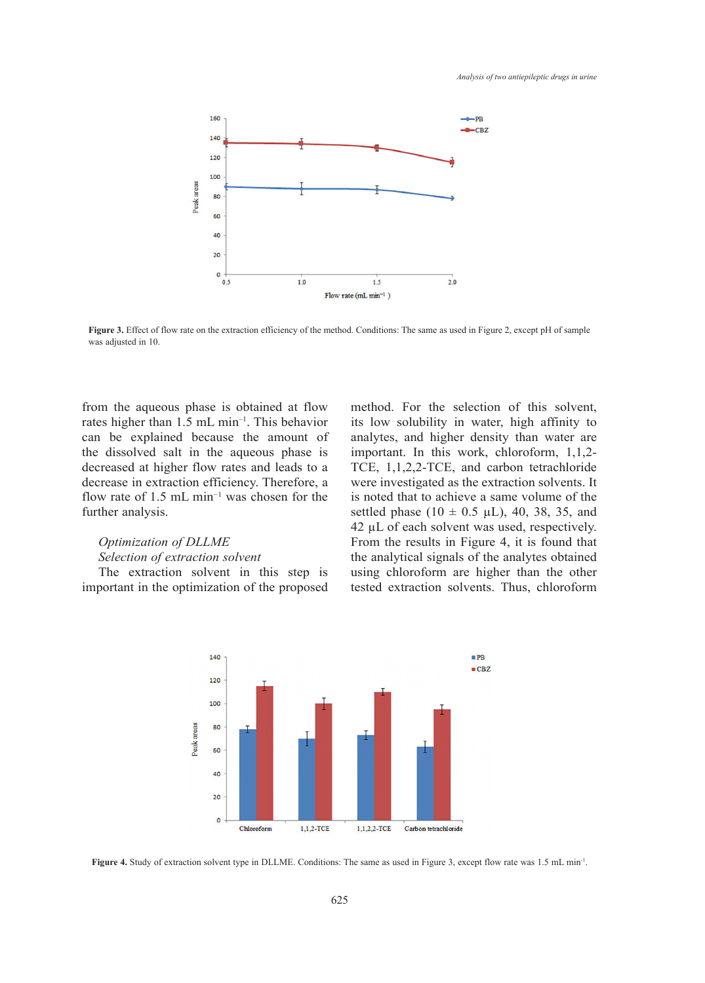

**Figure 3.** Effect of flow rate on the extraction efficiency of the method. Conditions: The same as used in Figure 2, except pH of sample was adjusted in 10.

from the aqueous phase is obtained at flow rates higher than 1.5 mL min–1. This behavior can be explained because the amount of the dissolved salt in the aqueous phase is decreased at higher flow rates and leads to a decrease in extraction efficiency. Therefore, a flow rate of 1.5 mL min<sup>-1</sup> was chosen for the further analysis.

# *Optimization of DLLME*

# *Selection of extraction solvent*

The extraction solvent in this step is important in the optimization of the proposed

method. For the selection of this solvent, its low solubility in water, high affinity to analytes, and higher density than water are important. In this work, chloroform, 1,1,2- TCE, 1,1,2,2-TCE, and carbon tetrachloride were investigated as the extraction solvents. It is noted that to achieve a same volume of the settled phase ( $10 \pm 0.5$   $\mu$ L), 40, 38, 35, and  $42 \mu L$  of each solvent was used, respectively. From the results in Figure 4, it is found that  $\frac{d}{dt}$  is analytical signals of the analytics obtained the analytical signals of the analytes obtained using chloroform are higher than the other optimization of the proposed tested extraction solvents. Thus, chloroform



**Figure 4.** Study of extraction solvent type in DLLME. Conditions: The same as used in Figure 3, except flow rate was 1.5 mL min<sup>-1</sup>.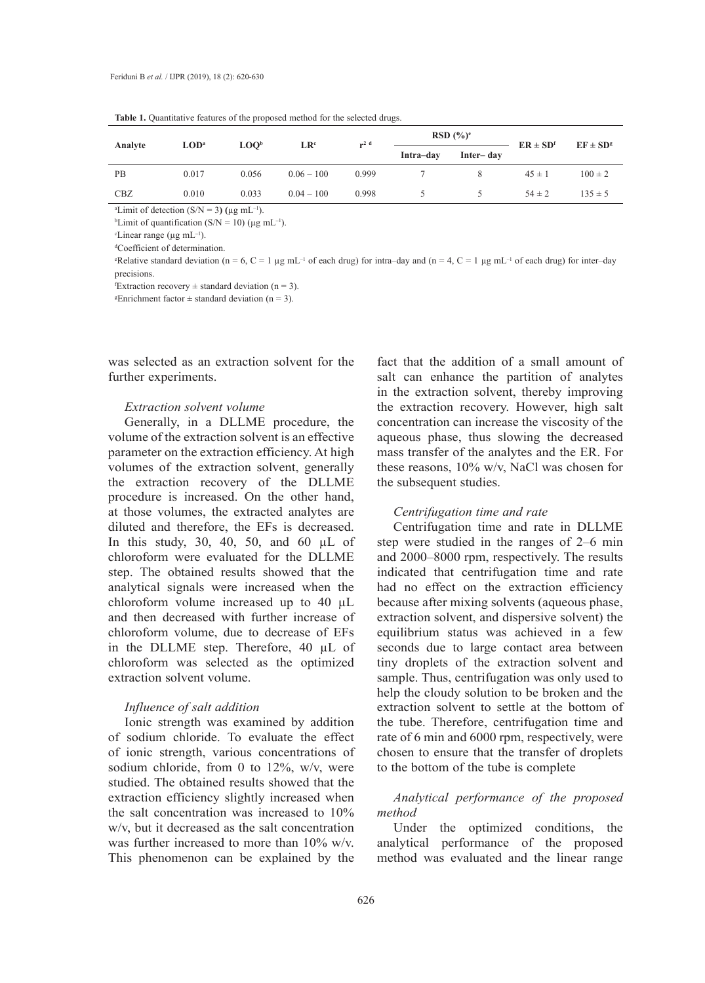| Analyte    | $\mathbf{LOD}^{\mathbf{a}}$ | LOO <sub>p</sub> | LR <sup>c</sup> | $r^2$ <sup>d</sup> | $RSD(%)^e$ |           | $ER \pm SD^f$ | $EF \pm SD^g$ |
|------------|-----------------------------|------------------|-----------------|--------------------|------------|-----------|---------------|---------------|
|            |                             |                  |                 |                    | Intra-day  | Inter-day |               |               |
| PB         | 0.017                       | 0.056            | $0.06 - 100$    | 0.999              |            | 8         | $45 \pm 1$    | $100 \pm 2$   |
| <b>CBZ</b> | 0.010                       | 0.033            | $0.04 - 100$    | 0.998              | ৲          |           | $54 \pm 2$    | $135 \pm 5$   |

Table 1. Quantitative features of the proposed method for the selected drugs.

<sup>a</sup>Limit of detection (S/N = 3) ( $\mu$ g mL<sup>-1</sup>).

<sup>b</sup>Limit of quantification (S/N = 10) ( $\mu$ g mL<sup>-1</sup>).

 $c$ Linear range (µg mL<sup>-1</sup>).

d Coefficient of determination.

"Relative standard deviation ( $n = 6$ ,  $C = 1$  µg mL<sup>-1</sup> of each drug) for intra-day and ( $n = 4$ ,  $C = 1$  µg mL<sup>-1</sup> of each drug) for inter-day precisions.

Extraction recovery  $\pm$  standard deviation (n = 3).

*Enrichment factor*  $\pm$  standard deviation (n = 3).

was selected as an extraction solvent for the further experiments.

# *Extraction solvent volume*

Generally, in a DLLME procedure, the volume of the extraction solvent is an effective parameter on the extraction efficiency. At high volumes of the extraction solvent, generally the extraction recovery of the DLLME procedure is increased. On the other hand, at those volumes, the extracted analytes are diluted and therefore, the EFs is decreased. In this study, 30, 40, 50, and 60  $\mu$ L of chloroform were evaluated for the DLLME step. The obtained results showed that the analytical signals were increased when the chloroform volume increased up to 40 µL and then decreased with further increase of chloroform volume, due to decrease of EFs in the DLLME step. Therefore, 40 µL of chloroform was selected as the optimized extraction solvent volume.

#### *Influence of salt addition*

Ionic strength was examined by addition of sodium chloride. To evaluate the effect of ionic strength, various concentrations of sodium chloride, from 0 to 12%, w/v, were studied. The obtained results showed that the extraction efficiency slightly increased when the salt concentration was increased to 10% w/v, but it decreased as the salt concentration was further increased to more than 10% w/v. This phenomenon can be explained by the

fact that the addition of a small amount of salt can enhance the partition of analytes in the extraction solvent, thereby improving the extraction recovery. However, high salt concentration can increase the viscosity of the aqueous phase, thus slowing the decreased mass transfer of the analytes and the ER. For these reasons, 10% w/v, NaCl was chosen for the subsequent studies.

#### *Centrifugation time and rate*

Centrifugation time and rate in DLLME step were studied in the ranges of 2–6 min and 2000–8000 rpm, respectively. The results indicated that centrifugation time and rate had no effect on the extraction efficiency because after mixing solvents (aqueous phase, extraction solvent, and dispersive solvent) the equilibrium status was achieved in a few seconds due to large contact area between tiny droplets of the extraction solvent and sample. Thus, centrifugation was only used to help the cloudy solution to be broken and the extraction solvent to settle at the bottom of the tube. Therefore, centrifugation time and rate of 6 min and 6000 rpm, respectively, were chosen to ensure that the transfer of droplets to the bottom of the tube is complete

# *Analytical performance of the proposed method*

Under the optimized conditions, the analytical performance of the proposed method was evaluated and the linear range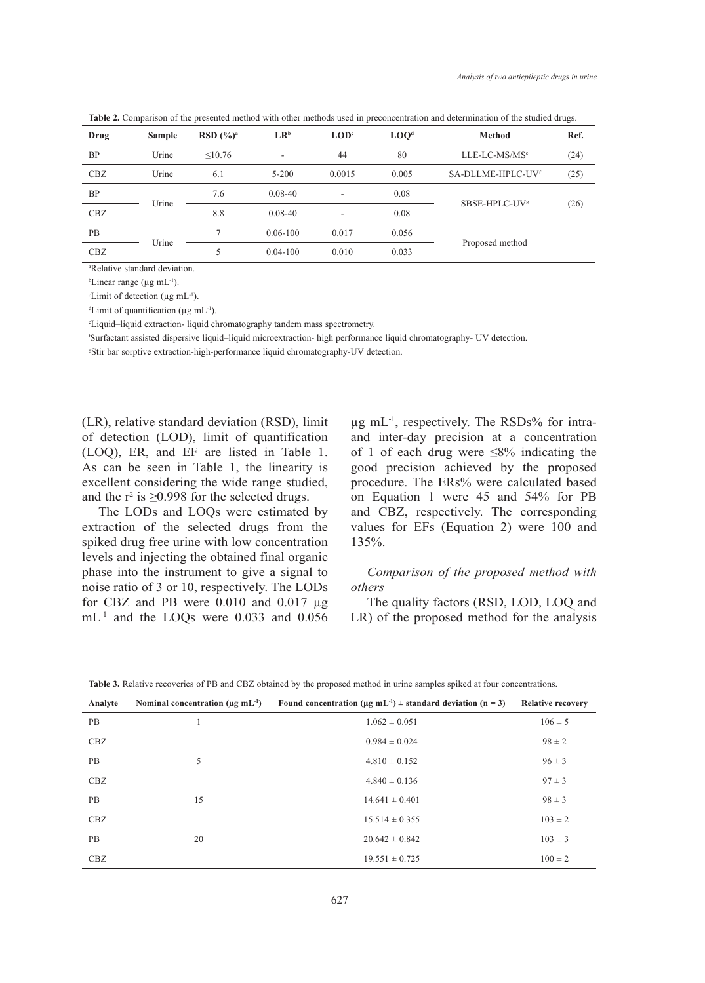**Table 2.** Comparison of the presented method with other methods used in preconcentration and determination of the studied drugs.

| Drug      | <b>Sample</b> | RSD $(%)^a$    | $LR^b$       | $\mathbf{LOD}^c$ | LOO <sup>d</sup> | <b>Method</b>             | Ref. |
|-----------|---------------|----------------|--------------|------------------|------------------|---------------------------|------|
| <b>BP</b> | Urine         | $\leq 10.76$   | ۰            | 44               | 80               | LLE-LC-MS/MS <sup>e</sup> | (24) |
| CBZ       | Urine         | 6.1            | $5 - 200$    | 0.0015           | 0.005            | SA-DLLME-HPLC-UVf         | (25) |
| <b>BP</b> |               | 7.6            | $0.08 - 40$  | ٠                | 0.08             | SBSE-HPLC-UV <sup>s</sup> |      |
| CBZ       | Urine         | 8.8            | $0.08 - 40$  | ٠                | 0.08             |                           | (26) |
| <b>PB</b> |               | $\overline{7}$ | $0.06 - 100$ | 0.017            | 0.056            |                           |      |
| CBZ       | Urine         | 5              | $0.04 - 100$ | 0.010            | 0.033            | Proposed method           |      |
|           |               |                |              |                  |                  |                           |      |

a Relative standard deviation.

 $b$ Linear range (µg mL<sup>-1</sup>).

 $\text{c}$ Limit of detection (µg mL<sup>-1</sup>).

d Limit of quantification (µg mL-1).

e Liquid–liquid extraction- liquid chromatography tandem mass spectrometry.

f Surfactant assisted dispersive liquid–liquid microextraction- high performance liquid chromatography- UV detection.

g Stir bar sorptive extraction-high-performance liquid chromatography-UV detection.

(LR), relative standard deviation (RSD), limit of detection (LOD), limit of quantification (LOQ), ER, and EF are listed in Table 1. As can be seen in Table 1, the linearity is excellent considering the wide range studied, and the  $r^2$  is  $\geq$ 0.998 for the selected drugs.

The LODs and LOQs were estimated by extraction of the selected drugs from the spiked drug free urine with low concentration levels and injecting the obtained final organic phase into the instrument to give a signal to noise ratio of 3 or 10, respectively. The LODs for CBZ and PB were  $0.010$  and  $0.017 \mu g$ mL-1 and the LOQs were 0.033 and 0.056 µg mL-1, respectively. The RSDs% for intraand inter-day precision at a concentration of 1 of each drug were ≤8% indicating the good precision achieved by the proposed procedure. The ERs% were calculated based on Equation 1 were 45 and 54% for PB and CBZ, respectively. The corresponding values for EFs (Equation 2) were 100 and 135%.

# *Comparison of the proposed method with others*

The quality factors (RSD, LOD, LOQ, and LR) of the proposed method for the analysis

| Analyte   | Nominal concentration ( $\mu$ g mL <sup>-1</sup> ) | Found concentration ( $\mu$ g mL <sup>-1</sup> ) $\pm$ standard deviation (n = 3) | <b>Relative recovery</b> |
|-----------|----------------------------------------------------|-----------------------------------------------------------------------------------|--------------------------|
| <b>PB</b> |                                                    | $1.062 \pm 0.051$                                                                 | $106 \pm 5$              |
| CBZ       |                                                    | $0.984 \pm 0.024$                                                                 | $98 \pm 2$               |
| PB        | 5                                                  | $4.810 \pm 0.152$                                                                 | $96 \pm 3$               |
| CBZ       |                                                    | $4.840 \pm 0.136$                                                                 | $97 \pm 3$               |
| PB        | 15                                                 | $14.641 \pm 0.401$                                                                | $98 \pm 3$               |
| CBZ       |                                                    | $15.514 \pm 0.355$                                                                | $103 \pm 2$              |
| PB        | 20                                                 | $20.642 \pm 0.842$                                                                | $103 \pm 3$              |
| CBZ       |                                                    | $19.551 \pm 0.725$                                                                | $100 \pm 2$              |

**Table 3.** Relative recoveries of PB and CBZ obtained by the proposed method in urine samples spiked at four concentrations.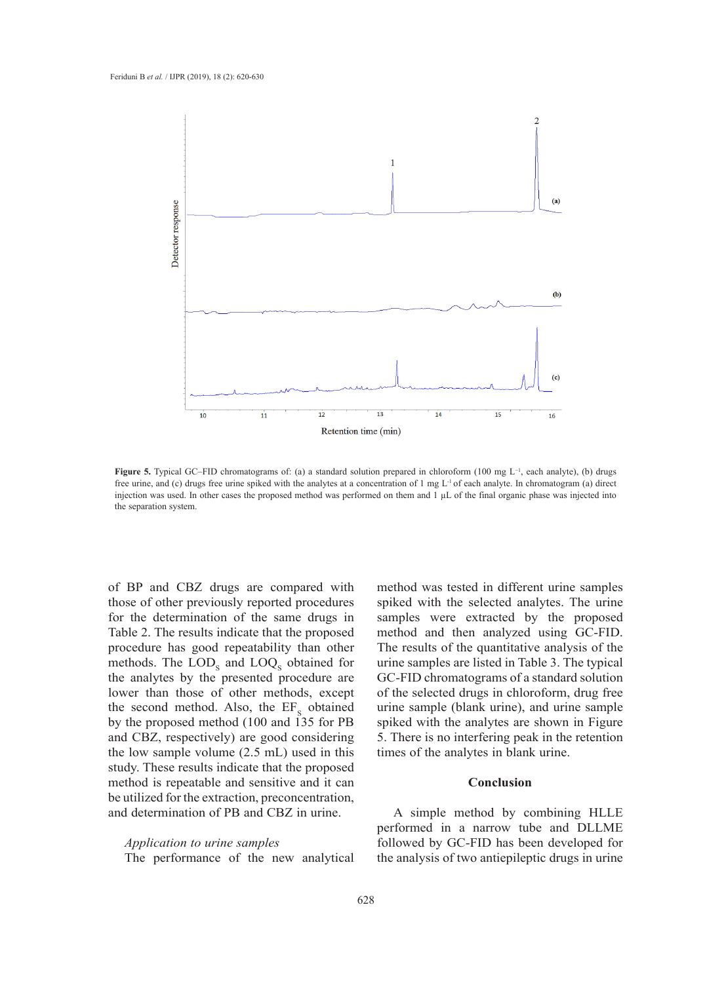

free urine, and (c) drugs free urine spiked with the analytes at a concentration of 1 mg L<sup>-1</sup> of each analyte. In chromatogram (a) direct each analytic), (b) drugs free urine, and (c) drugs free urine spike the analytics at a concentration of 1 drugs free urine spike  $\alpha$ **Figure 5.** Typical GC–FID chromatograms of: (a) a standard solution prepared in chloroform (100 mg L−1, each analyte), (b) drugs injection was used. In other cases the proposed method was performed on them and 1 µL of the final organic phase was injected into the separation system.

of BP and CBZ drugs are compared with those of other previously reported procedures for the determination of the same drugs in Table 2. The results indicate that the proposed procedure has good repeatability than other methods. The  $\text{LOD}_\text{s}$  and  $\text{LOQ}_\text{s}$  obtained for the analytes by the presented procedure are lower than those of other methods, except the second method. Also, the  $EF_s$  obtained by the proposed method (100 and 135 for PB and CBZ, respectively) are good considering the low sample volume (2.5 mL) used in this study. These results indicate that the proposed many advantages such as simplicity, rapidity,  $\frac{1}{2}$ method is repeatable and sensitive and it can be utilized for the extraction, preconcentration, and determination of PB and CBZ in urine.

*Application to urine samples* The performance of the new analytical

method was tested in different urine samples spiked with the selected analytes. The urine samples were extracted by the proposed method and then analyzed using GC-FID. The results of the quantitative analysis of the urine samples are listed in Table 3. The typical es by the presented procedure are GC-FID chromatograms of a standard solution of the selected drugs in chloroform, drug free d method. Also, the EF<sub>s</sub> obtained urine sample (blank urine), and urine sample spiked with the analytes are shown in Figure respectively) are good considering 5. There is no interfering peak in the retention times of the analytes in blank urine.

# **Conclusion**

A simple method by combining HLLE performed in a narrow tube and DLLME followed by GC-FID has been developed for the analysis of two antiepileptic drugs in urine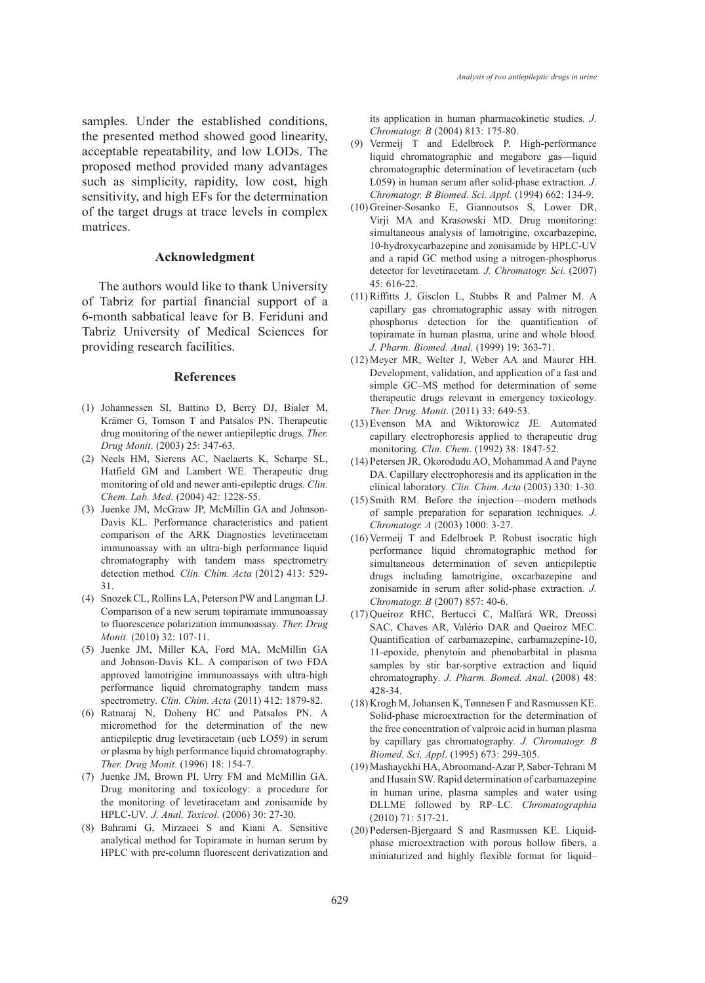samples. Under the established conditions, the presented method showed good linearity, acceptable repeatability, and low LODs. The proposed method provided many advantages such as simplicity, rapidity, low cost, high sensitivity, and high EFs for the determination of the target drugs at trace levels in complex matrices.

#### **Acknowledgment**

The authors would like to thank University of Tabriz for partial financial support of a 6-month sabbatical leave for B. Feriduni and Tabriz University of Medical Sciences for providing research facilities.

## **References**

- (1) Johannessen SI, Battino D, Berry DJ, Bialer M, Krämer G, Tomson T and Patsalos PN. Therapeutic drug monitoring of the newer antiepileptic drugs*. Ther. Drug Monit*. (2003) 25: 347-63.
- (2) Neels HM, Sierens AC, Naelaerts K, Scharpe SL, Hatfield GM and Lambert WE. Therapeutic drug monitoring of old and newer anti-epileptic drugs*. Clin. Chem. Lab. Med*. (2004) 42: 1228-55.
- (3) Juenke JM, McGraw JP, McMillin GA and Johnson-Davis KL. Performance characteristics and patient comparison of the ARK Diagnostics levetiracetam immunoassay with an ultra-high performance liquid chromatography with tandem mass spectrometry detection method*. Clin. Chim. Acta* (2012) 413: 529- 31.
- Snozek CL, Rollins LA, Peterson PW and Langman LJ. (4) Comparison of a new serum topiramate immunoassay to fluorescence polarization immunoassay*. Ther. Drug Monit.* (2010) 32: 107-11.
- (5) Juenke JM, Miller KA, Ford MA, McMillin GA and Johnson-Davis KL. A comparison of two FDA approved lamotrigine immunoassays with ultra-high performance liquid chromatography tandem mass spectrometry*. Clin. Chim. Acta* (2011) 412: 1879-82.
- (6) Ratnaraj N, Doheny HC and Patsalos PN. A micromethod for the determination of the new antiepileptic drug levetiracetam (ucb LO59) in serum or plasma by high performance liquid chromatography*. Ther. Drug Monit*. (1996) 18: 154-7.
- (7) Juenke JM, Brown PI, Urry FM and McMillin GA. Drug monitoring and toxicology: a procedure for the monitoring of levetiracetam and zonisamide by HPLC-UV*. J. Anal. Toxicol*. (2006) 30: 27-30.
- Bahrami G, Mirzaeei S and Kiani A. Sensitive (8) analytical method for Topiramate in human serum by HPLC with pre-column fluorescent derivatization and

its application in human pharmacokinetic studies*. J. Chromatogr. B* (2004) 813: 175-80.

- (9) Vermeij T and Edelbroek P. High-performance liquid chromatographic and megabore gas—liquid chromatographic determination of levetiracetam (ucb L059) in human serum after solid-phase extraction*. J. Chromatogr. B Biomed. Sci. Appl.* (1994) 662: 134-9.
- (10) Greiner-Sosanko E, Giannoutsos S, Lower DR, Virji MA and Krasowski MD. Drug monitoring: simultaneous analysis of lamotrigine, oxcarbazepine, 10-hydroxycarbazepine and zonisamide by HPLC-UV and a rapid GC method using a nitrogen-phosphorus detector for levetiracetam*. J. Chromatogr. Sci.* (2007) 45: 616-22.
- $(11)$  Riffitts J, Gisclon L, Stubbs R and Palmer M. A capillary gas chromatographic assay with nitrogen phosphorus detection for the quantification of topiramate in human plasma, urine and whole blood*. J. Pharm. Biomed. Anal*. (1999) 19: 363-71.
- (12) Meyer MR, Welter J, Weber AA and Maurer HH. Development, validation, and application of a fast and simple GC–MS method for determination of some therapeutic drugs relevant in emergency toxicology*. Ther. Drug. Monit*. (2011) 33: 649-53.
- (13) Evenson MA and Wiktorowicz JE. Automated capillary electrophoresis applied to therapeutic drug monitoring*. Clin. Chem*. (1992) 38: 1847-52.
- Petersen JR, Okorodudu AO, Mohammad A and Payne (14) DA. Capillary electrophoresis and its application in the clinical laboratory*. Clin. Chim. Acta* (2003) 330: 1-30.
- (15) Smith RM. Before the injection—modern methods of sample preparation for separation techniques*. J. Chromatogr. A* (2003) 1000: 3-27.
- $(16)$  Vermeij T and Edelbroek P. Robust isocratic high performance liquid chromatographic method for simultaneous determination of seven antiepileptic drugs including lamotrigine, oxcarbazepine and zonisamide in serum after solid-phase extraction*. J. Chromatogr. B* (2007) 857: 40-6.
- (17) Queiroz RHC, Bertucci C, Malfará WR, Dreossi SAC, Chaves AR, Valério DAR and Queiroz MEC. Quantification of carbamazepine, carbamazepine-10, 11-epoxide, phenytoin and phenobarbital in plasma samples by stir bar-sorptive extraction and liquid chromatography*. J. Pharm. Bomed. Anal*. (2008) 48: 428-34.
- (18) Krogh M, Johansen K, Tønnesen F and Rasmussen KE. Solid-phase microextraction for the determination of the free concentration of valproic acid in human plasma by capillary gas chromatography*. J. Chromatogr. B Biomed. Sci. Appl*. (1995) 673: 299-305.
- (19) Mashayekhi HA, Abroomand-Azar P, Saber-Tehrani M and Husain SW. Rapid determination of carbamazepine in human urine, plasma samples and water using DLLME followed by RP–LC*. Chromatographia* (2010) 71: 517-21.
- (20) Pedersen-Bjergaard S and Rasmussen KE. Liquidphase microextraction with porous hollow fibers, a miniaturized and highly flexible format for liquid–